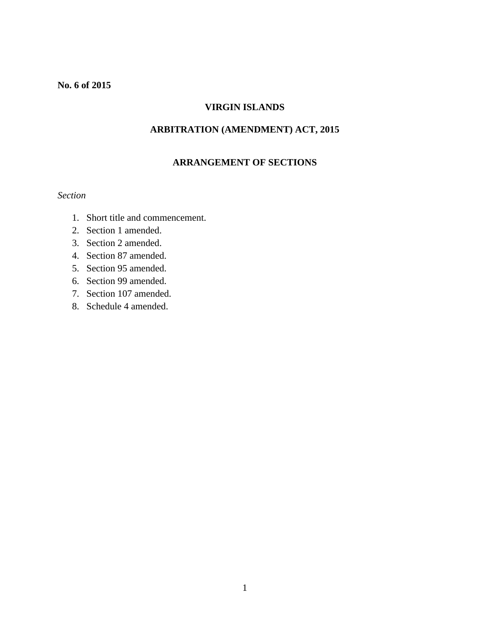### **No. 6 of 2015**

# **VIRGIN ISLANDS**

# **ARBITRATION (AMENDMENT) ACT, 2015**

#### **ARRANGEMENT OF SECTIONS**

#### *Section*

- 1. Short title and commencement.
- 2. Section 1 amended.
- 3. Section 2 amended.
- 4. Section 87 amended.
- 5. Section 95 amended.
- 6. Section 99 amended.
- 7. Section 107 amended.
- 8. Schedule 4 amended.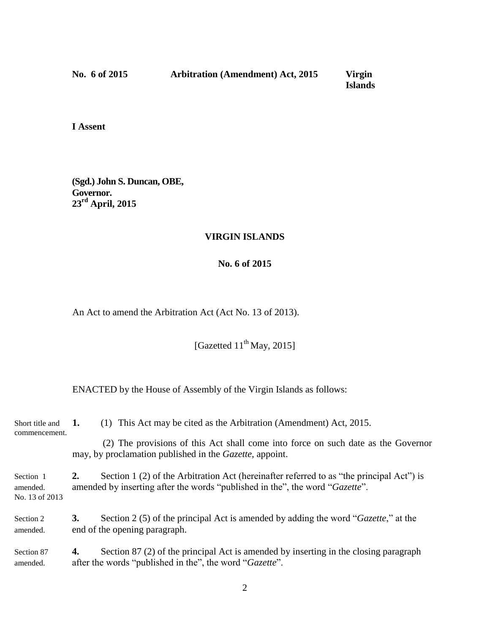**No. 6 of 2015 Arbitration (Amendment) Act, 2015 Virgin**

*<u>Islands</u>* 

**I Assent**

**(Sgd.) John S. Duncan, OBE, Governor. 23rd April, 2015**

#### **VIRGIN ISLANDS**

## **No. 6 of 2015**

An Act to amend the Arbitration Act (Act No. 13 of 2013).

[Gazetted 11<sup>th</sup> May, 2015]

ENACTED by the House of Assembly of the Virgin Islands as follows:

| Short title and<br>commencement.        | 1.                                                                                                                                                                             | (1) This Act may be cited as the Arbitration (Amendment) Act, 2015.                                                                                  |
|-----------------------------------------|--------------------------------------------------------------------------------------------------------------------------------------------------------------------------------|------------------------------------------------------------------------------------------------------------------------------------------------------|
|                                         |                                                                                                                                                                                | (2) The provisions of this Act shall come into force on such date as the Governor<br>may, by proclamation published in the <i>Gazette</i> , appoint. |
| Section 1<br>amended.<br>No. 13 of 2013 | Section 1 (2) of the Arbitration Act (hereinafter referred to as "the principal Act") is<br>2.<br>amended by inserting after the words "published in the", the word "Gazette". |                                                                                                                                                      |
| Section 2<br>amended.                   | 3.                                                                                                                                                                             | Section 2 (5) of the principal Act is amended by adding the word "Gazette," at the<br>end of the opening paragraph.                                  |
| Section 87<br>amended.                  | 4.                                                                                                                                                                             | Section 87 (2) of the principal Act is amended by inserting in the closing paragraph<br>after the words "published in the", the word "Gazette".      |